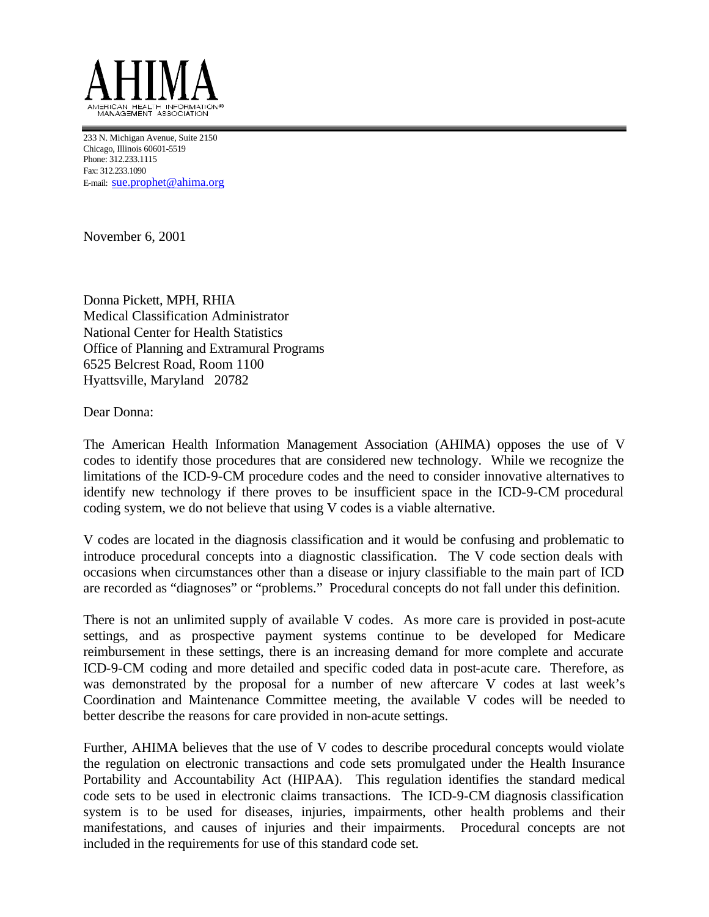

233 N. Michigan Avenue, Suite 2150 Chicago, Illinois 60601-5519 Phone: 312.233.1115 Fax: 312.233.1090 E-mail: sue.prophet@ahima.org

November 6, 2001

Donna Pickett, MPH, RHIA Medical Classification Administrator National Center for Health Statistics Office of Planning and Extramural Programs 6525 Belcrest Road, Room 1100 Hyattsville, Maryland 20782

Dear Donna:

The American Health Information Management Association (AHIMA) opposes the use of V codes to identify those procedures that are considered new technology. While we recognize the limitations of the ICD-9-CM procedure codes and the need to consider innovative alternatives to identify new technology if there proves to be insufficient space in the ICD-9-CM procedural coding system, we do not believe that using V codes is a viable alternative.

V codes are located in the diagnosis classification and it would be confusing and problematic to introduce procedural concepts into a diagnostic classification. The V code section deals with occasions when circumstances other than a disease or injury classifiable to the main part of ICD are recorded as "diagnoses" or "problems." Procedural concepts do not fall under this definition.

There is not an unlimited supply of available V codes. As more care is provided in post-acute settings, and as prospective payment systems continue to be developed for Medicare reimbursement in these settings, there is an increasing demand for more complete and accurate ICD-9-CM coding and more detailed and specific coded data in post-acute care. Therefore, as was demonstrated by the proposal for a number of new aftercare V codes at last week's Coordination and Maintenance Committee meeting, the available V codes will be needed to better describe the reasons for care provided in non-acute settings.

Further, AHIMA believes that the use of V codes to describe procedural concepts would violate the regulation on electronic transactions and code sets promulgated under the Health Insurance Portability and Accountability Act (HIPAA). This regulation identifies the standard medical code sets to be used in electronic claims transactions. The ICD-9-CM diagnosis classification system is to be used for diseases, injuries, impairments, other health problems and their manifestations, and causes of injuries and their impairments. Procedural concepts are not included in the requirements for use of this standard code set.